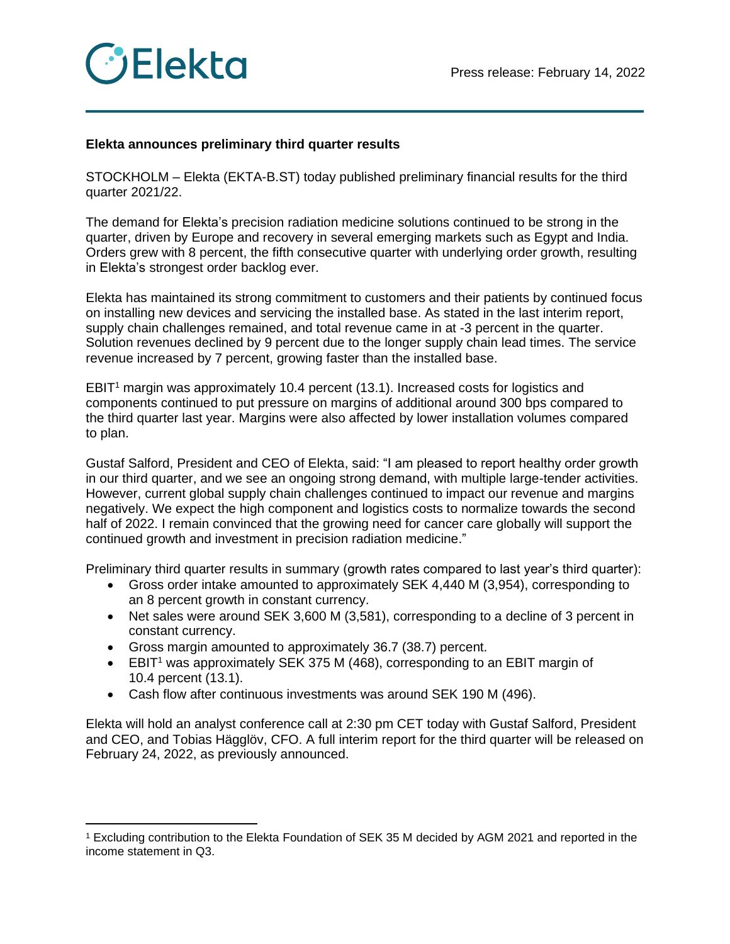

## **Elekta announces preliminary third quarter results**

STOCKHOLM – Elekta (EKTA-B.ST) today published preliminary financial results for the third quarter 2021/22.

The demand for Elekta's precision radiation medicine solutions continued to be strong in the quarter, driven by Europe and recovery in several emerging markets such as Egypt and India. Orders grew with 8 percent, the fifth consecutive quarter with underlying order growth, resulting in Elekta's strongest order backlog ever.

Elekta has maintained its strong commitment to customers and their patients by continued focus on installing new devices and servicing the installed base. As stated in the last interim report, supply chain challenges remained, and total revenue came in at -3 percent in the quarter. Solution revenues declined by 9 percent due to the longer supply chain lead times. The service revenue increased by 7 percent, growing faster than the installed base.

EBIT<sup>1</sup> margin was approximately 10.4 percent (13.1). Increased costs for logistics and components continued to put pressure on margins of additional around 300 bps compared to the third quarter last year. Margins were also affected by lower installation volumes compared to plan.

Gustaf Salford, President and CEO of Elekta, said: "I am pleased to report healthy order growth in our third quarter, and we see an ongoing strong demand, with multiple large-tender activities. However, current global supply chain challenges continued to impact our revenue and margins negatively. We expect the high component and logistics costs to normalize towards the second half of 2022. I remain convinced that the growing need for cancer care globally will support the continued growth and investment in precision radiation medicine."

Preliminary third quarter results in summary (growth rates compared to last year's third quarter):

- Gross order intake amounted to approximately SEK 4,440 M (3,954), corresponding to an 8 percent growth in constant currency.
- Net sales were around SEK 3,600 M (3,581), corresponding to a decline of 3 percent in constant currency.
- Gross margin amounted to approximately 36.7 (38.7) percent.
- EBIT<sup>1</sup> was approximately SEK 375 M (468), corresponding to an EBIT margin of 10.4 percent (13.1).
- Cash flow after continuous investments was around SEK 190 M (496).

Elekta will hold an analyst conference call at 2:30 pm CET today with Gustaf Salford, President and CEO, and Tobias Hägglöv, CFO. A full interim report for the third quarter will be released on February 24, 2022, as previously announced.

<sup>1</sup> Excluding contribution to the Elekta Foundation of SEK 35 M decided by AGM 2021 and reported in the income statement in Q3.